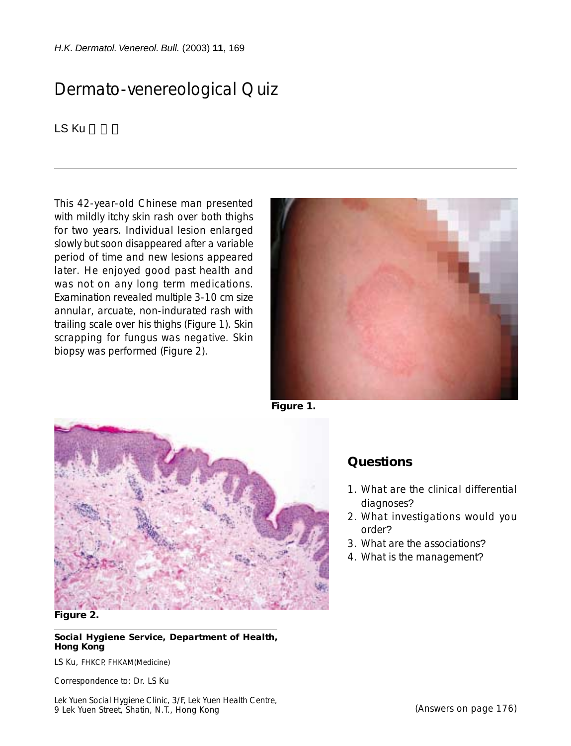*H.K. Dermatol. Venereol. Bull.* (2003) **11**, 169

## Dermato-venereological Quiz

LS Ku

This 42-year-old Chinese man presented with mildly itchy skin rash over both thighs for two years. Individual lesion enlarged slowly but soon disappeared after a variable period of time and new lesions appeared later. He enjoyed good past health and was not on any long term medications. Examination revealed multiple 3-10 cm size annular, arcuate, non-indurated rash with trailing scale over his thighs (Figure 1). Skin scrapping for fungus was negative. Skin biopsy was performed (Figure 2).



**Figure 1.**



## **Figure 2.**

**Social Hygiene Service, Department of Health, Hong Kong**

LS Ku, FHKCP, FHKAM(Medicine)

Correspondence to: Dr. LS Ku

Lek Yuen Social Hygiene Clinic, 3/F, Lek Yuen Health Centre, 9 Lek Yuen Street, Shatin, N.T., Hong Kong

## **Questions**

- 1. What are the clinical differential diagnoses?
- 2. What investigations would you order?
- 3. What are the associations?
- 4. What is the management?